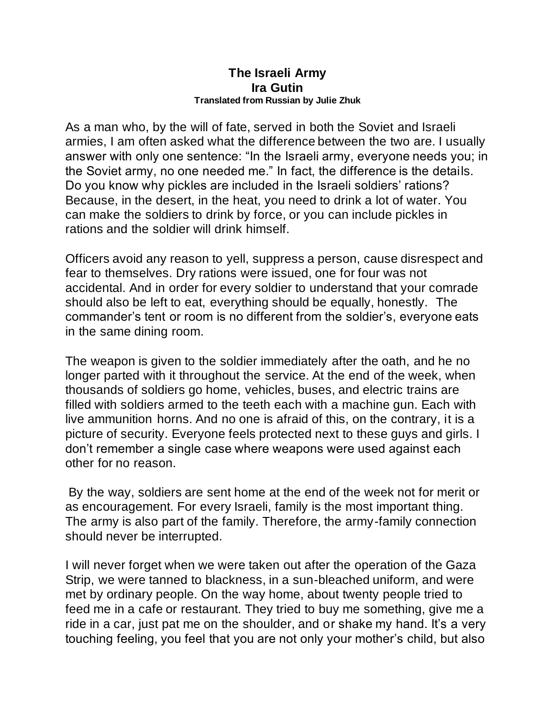## **The Israeli Army Ira Gutin Translated from Russian by Julie Zhuk**

As a man who, by the will of fate, served in both the Soviet and Israeli armies, I am often asked what the difference between the two are. I usually answer with only one sentence: "In the Israeli army, everyone needs you; in the Soviet army, no one needed me." In fact, the difference is the details. Do you know why pickles are included in the Israeli soldiers' rations? Because, in the desert, in the heat, you need to drink a lot of water. You can make the soldiers to drink by force, or you can include pickles in rations and the soldier will drink himself.

Officers avoid any reason to yell, suppress a person, cause disrespect and fear to themselves. Dry rations were issued, one for four was not accidental. And in order for every soldier to understand that your comrade should also be left to eat, everything should be equally, honestly. The commander's tent or room is no different from the soldier's, everyone eats in the same dining room.

The weapon is given to the soldier immediately after the oath, and he no longer parted with it throughout the service. At the end of the week, when thousands of soldiers go home, vehicles, buses, and electric trains are filled with soldiers armed to the teeth each with a machine gun. Each with live ammunition horns. And no one is afraid of this, on the contrary, it is a picture of security. Everyone feels protected next to these guys and girls. I don't remember a single case where weapons were used against each other for no reason.

By the way, soldiers are sent home at the end of the week not for merit or as encouragement. For every Israeli, family is the most important thing. The army is also part of the family. Therefore, the army-family connection should never be interrupted.

I will never forget when we were taken out after the operation of the Gaza Strip, we were tanned to blackness, in a sun-bleached uniform, and were met by ordinary people. On the way home, about twenty people tried to feed me in a cafe or restaurant. They tried to buy me something, give me a ride in a car, just pat me on the shoulder, and or shake my hand. It's a very touching feeling, you feel that you are not only your mother's child, but also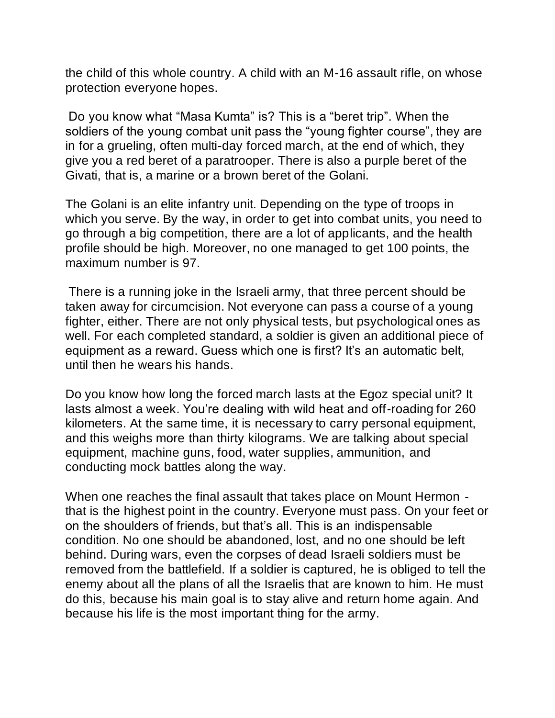the child of this whole country. A child with an M-16 assault rifle, on whose protection everyone hopes.

Do you know what "Masa Kumta" is? This is a "beret trip". When the soldiers of the young combat unit pass the "young fighter course", they are in for a grueling, often multi-day forced march, at the end of which, they give you a red beret of a paratrooper. There is also a purple beret of the Givati, that is, a marine or a brown beret of the Golani.

The Golani is an elite infantry unit. Depending on the type of troops in which you serve. By the way, in order to get into combat units, you need to go through a big competition, there are a lot of applicants, and the health profile should be high. Moreover, no one managed to get 100 points, the maximum number is 97.

There is a running joke in the Israeli army, that three percent should be taken away for circumcision. Not everyone can pass a course of a young fighter, either. There are not only physical tests, but psychological ones as well. For each completed standard, a soldier is given an additional piece of equipment as a reward. Guess which one is first? It's an automatic belt, until then he wears his hands.

Do you know how long the forced march lasts at the Egoz special unit? It lasts almost a week. You're dealing with wild heat and off-roading for 260 kilometers. At the same time, it is necessary to carry personal equipment, and this weighs more than thirty kilograms. We are talking about special equipment, machine guns, food, water supplies, ammunition, and conducting mock battles along the way.

When one reaches the final assault that takes place on Mount Hermon that is the highest point in the country. Everyone must pass. On your feet or on the shoulders of friends, but that's all. This is an indispensable condition. No one should be abandoned, lost, and no one should be left behind. During wars, even the corpses of dead Israeli soldiers must be removed from the battlefield. If a soldier is captured, he is obliged to tell the enemy about all the plans of all the Israelis that are known to him. He must do this, because his main goal is to stay alive and return home again. And because his life is the most important thing for the army.